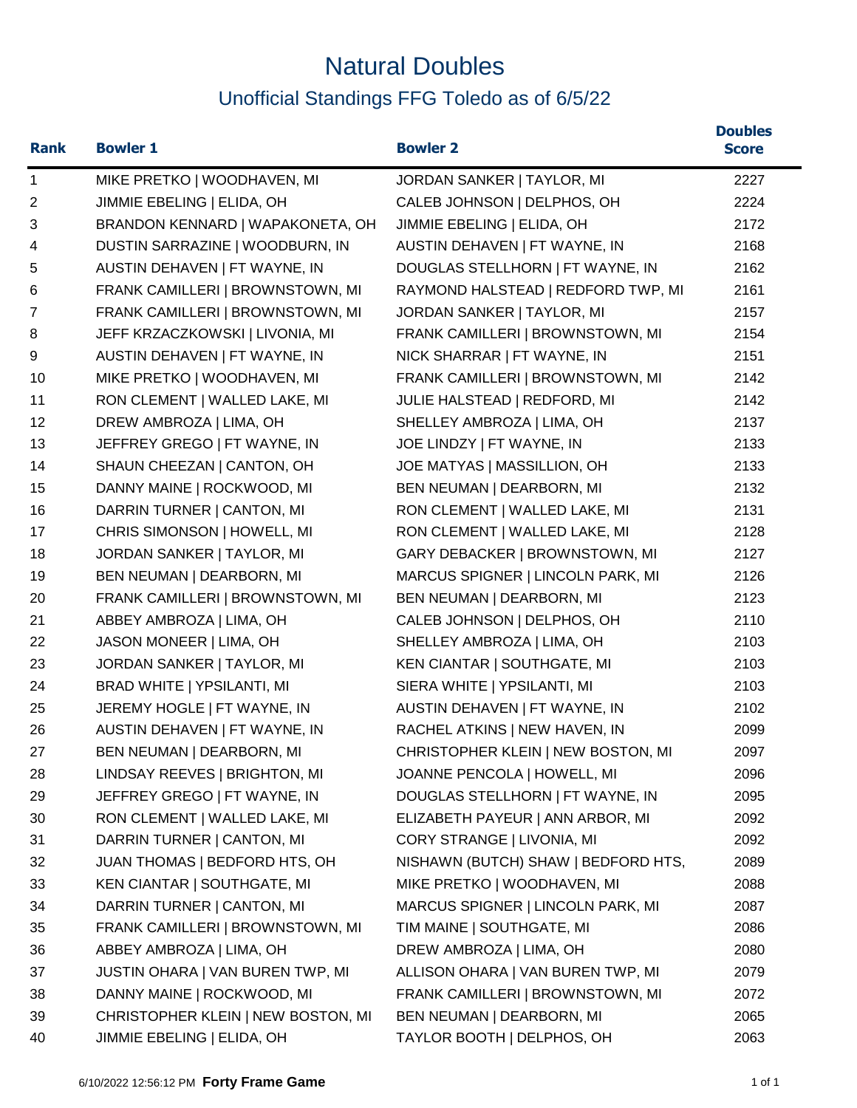## Natural Doubles Unofficial Standings FFG Toledo as of 6/5/22

| <b>Rank</b>    | <b>Bowler 1</b>                    | <b>Bowler 2</b>                     | <b>Doubles</b><br><b>Score</b> |
|----------------|------------------------------------|-------------------------------------|--------------------------------|
| $\mathbf 1$    | MIKE PRETKO   WOODHAVEN, MI        | JORDAN SANKER   TAYLOR, MI          | 2227                           |
| $\overline{c}$ | JIMMIE EBELING   ELIDA, OH         | CALEB JOHNSON   DELPHOS, OH         | 2224                           |
| 3              | BRANDON KENNARD   WAPAKONETA, OH   | JIMMIE EBELING   ELIDA, OH          | 2172                           |
| 4              | DUSTIN SARRAZINE   WOODBURN, IN    | AUSTIN DEHAVEN   FT WAYNE, IN       | 2168                           |
| 5              | AUSTIN DEHAVEN   FT WAYNE, IN      | DOUGLAS STELLHORN   FT WAYNE, IN    | 2162                           |
| 6              | FRANK CAMILLERI   BROWNSTOWN, MI   | RAYMOND HALSTEAD   REDFORD TWP, MI  | 2161                           |
| $\overline{7}$ | FRANK CAMILLERI   BROWNSTOWN, MI   | JORDAN SANKER   TAYLOR, MI          | 2157                           |
| 8              | JEFF KRZACZKOWSKI   LIVONIA, MI    | FRANK CAMILLERI   BROWNSTOWN, MI    | 2154                           |
| 9              | AUSTIN DEHAVEN   FT WAYNE, IN      | NICK SHARRAR   FT WAYNE, IN         | 2151                           |
| 10             | MIKE PRETKO   WOODHAVEN, MI        | FRANK CAMILLERI   BROWNSTOWN, MI    | 2142                           |
| 11             | RON CLEMENT   WALLED LAKE, MI      | JULIE HALSTEAD   REDFORD, MI        | 2142                           |
| 12             | DREW AMBROZA   LIMA, OH            | SHELLEY AMBROZA   LIMA, OH          | 2137                           |
| 13             | JEFFREY GREGO   FT WAYNE, IN       | JOE LINDZY   FT WAYNE, IN           | 2133                           |
| 14             | SHAUN CHEEZAN   CANTON, OH         | JOE MATYAS   MASSILLION, OH         | 2133                           |
| 15             | DANNY MAINE   ROCKWOOD, MI         | BEN NEUMAN   DEARBORN, MI           | 2132                           |
| 16             | DARRIN TURNER   CANTON, MI         | RON CLEMENT   WALLED LAKE, MI       | 2131                           |
| 17             | CHRIS SIMONSON   HOWELL, MI        | RON CLEMENT   WALLED LAKE, MI       | 2128                           |
| 18             | JORDAN SANKER   TAYLOR, MI         | GARY DEBACKER   BROWNSTOWN, MI      | 2127                           |
| 19             | BEN NEUMAN   DEARBORN, MI          | MARCUS SPIGNER   LINCOLN PARK, MI   | 2126                           |
| 20             | FRANK CAMILLERI   BROWNSTOWN, MI   | BEN NEUMAN   DEARBORN, MI           | 2123                           |
| 21             | ABBEY AMBROZA   LIMA, OH           | CALEB JOHNSON   DELPHOS, OH         | 2110                           |
| 22             | JASON MONEER   LIMA, OH            | SHELLEY AMBROZA   LIMA, OH          | 2103                           |
| 23             | JORDAN SANKER   TAYLOR, MI         | KEN CIANTAR   SOUTHGATE, MI         | 2103                           |
| 24             | BRAD WHITE   YPSILANTI, MI         | SIERA WHITE   YPSILANTI, MI         | 2103                           |
| 25             | JEREMY HOGLE   FT WAYNE, IN        | AUSTIN DEHAVEN   FT WAYNE, IN       | 2102                           |
| 26             | AUSTIN DEHAVEN   FT WAYNE, IN      | RACHEL ATKINS   NEW HAVEN, IN       | 2099                           |
| 27             | BEN NEUMAN   DEARBORN, MI          | CHRISTOPHER KLEIN   NEW BOSTON, MI  | 2097                           |
| 28             | LINDSAY REEVES   BRIGHTON, MI      | JOANNE PENCOLA   HOWELL, MI         | 2096                           |
| 29             | JEFFREY GREGO   FT WAYNE, IN       | DOUGLAS STELLHORN   FT WAYNE, IN    | 2095                           |
| 30             | RON CLEMENT   WALLED LAKE, MI      | ELIZABETH PAYEUR   ANN ARBOR, MI    | 2092                           |
| 31             | DARRIN TURNER   CANTON, MI         | CORY STRANGE   LIVONIA, MI          | 2092                           |
| 32             | JUAN THOMAS   BEDFORD HTS, OH      | NISHAWN (BUTCH) SHAW   BEDFORD HTS, | 2089                           |
| 33             | KEN CIANTAR   SOUTHGATE, MI        | MIKE PRETKO   WOODHAVEN, MI         | 2088                           |
| 34             | DARRIN TURNER   CANTON, MI         | MARCUS SPIGNER   LINCOLN PARK, MI   | 2087                           |
| 35             | FRANK CAMILLERI   BROWNSTOWN, MI   | TIM MAINE   SOUTHGATE, MI           | 2086                           |
| 36             | ABBEY AMBROZA   LIMA, OH           | DREW AMBROZA   LIMA, OH             | 2080                           |
| 37             | JUSTIN OHARA   VAN BUREN TWP, MI   | ALLISON OHARA   VAN BUREN TWP, MI   | 2079                           |
| 38             | DANNY MAINE   ROCKWOOD, MI         | FRANK CAMILLERI   BROWNSTOWN, MI    | 2072                           |
| 39             | CHRISTOPHER KLEIN   NEW BOSTON, MI | BEN NEUMAN   DEARBORN, MI           | 2065                           |
| 40             | JIMMIE EBELING   ELIDA, OH         | TAYLOR BOOTH   DELPHOS, OH          | 2063                           |